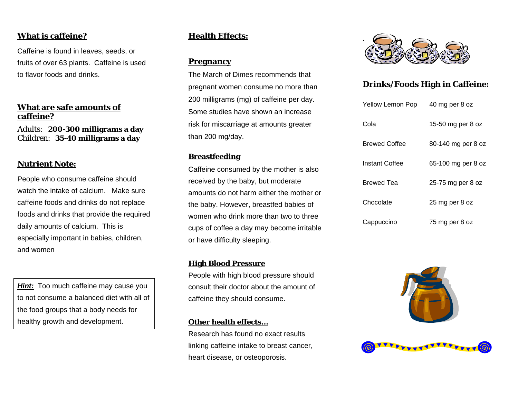## **What is caffeine?**

Caffeine is found in leaves, seeds, or fruits of over 63 plants. Caffeine is used to flavor foods and drinks.

#### **What are safe amounts of caffeine?**

Adults: **200-300 milligrams a day** Children: **35-40 milligrams a day**

#### **Nutrient Note:**

People who consume caffeine should watch the intake of calcium. Make sure caffeine foods and drinks do not replace foods and drinks that provide the required daily amounts of calcium. This is especially important in babies, children, and women

*Hint:* Too much caffeine may cause you to not consume a balanced diet with all of the food groups that a body needs for healthy growth and development.

## **Health Effects:**

#### **Pregnancy**

The March of Dimes recommends that pregnant women consume no more than 200 milligrams (mg) of caffeine per day. Some studies have shown an increase risk for miscarriage at amounts greater than 200 mg/day.

### **Breastfeeding**

Caffeine consumed by the mother is also received by the baby, but moderate amounts do not harm either the mother or the baby. However, breastfed babies of women who drink more than two to three cups of coffee a day may become irritable or have difficulty sleeping.

#### **High Blood Pressure**

People with high blood pressure should consult their doctor about the amount of caffeine they should consume.

#### **Other health effects…**

Research has found no exact results linking caffeine intake to breast cancer, heart disease, or osteoporosis.



## **Drinks/Foods High in Caffeine:**

| Yellow Lemon Pop     | 40 mg per 8 oz     |
|----------------------|--------------------|
| Cola                 | 15-50 mg per 8 oz  |
| <b>Brewed Coffee</b> | 80-140 mg per 8 oz |
| Instant Coffee       | 65-100 mg per 8 oz |
| Brewed Tea           | 25-75 mg per 8 oz  |
| Chocolate            | 25 mg per 8 oz     |
| Cappuccino           | 75 mg per 8 oz     |